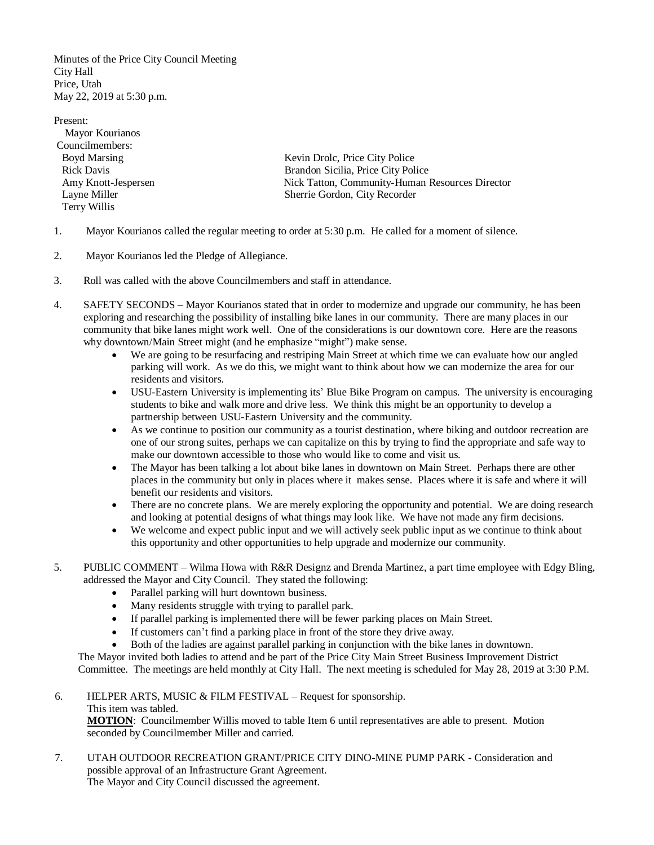Minutes of the Price City Council Meeting City Hall Price, Utah May 22, 2019 at 5:30 p.m.

Present: Mayor Kourianos Councilmembers: Terry Willis

Boyd Marsing Kevin Drolc, Price City Police Rick Davis Brandon Sicilia, Price City Police Amy Knott-Jespersen Nick Tatton, Community-Human Resources Director Layne Miller Sherrie Gordon, City Recorder

- 1. Mayor Kourianos called the regular meeting to order at 5:30 p.m. He called for a moment of silence.
- 2. Mayor Kourianos led the Pledge of Allegiance.
- 3. Roll was called with the above Councilmembers and staff in attendance.
- 4. SAFETY SECONDS Mayor Kourianos stated that in order to modernize and upgrade our community, he has been exploring and researching the possibility of installing bike lanes in our community. There are many places in our community that bike lanes might work well. One of the considerations is our downtown core. Here are the reasons why downtown/Main Street might (and he emphasize "might") make sense.
	- We are going to be resurfacing and restriping Main Street at which time we can evaluate how our angled parking will work. As we do this, we might want to think about how we can modernize the area for our residents and visitors.
	- USU-Eastern University is implementing its' Blue Bike Program on campus. The university is encouraging students to bike and walk more and drive less. We think this might be an opportunity to develop a partnership between USU-Eastern University and the community.
	- As we continue to position our community as a tourist destination, where biking and outdoor recreation are one of our strong suites, perhaps we can capitalize on this by trying to find the appropriate and safe way to make our downtown accessible to those who would like to come and visit us.
	- The Mayor has been talking a lot about bike lanes in downtown on Main Street. Perhaps there are other places in the community but only in places where it makes sense. Places where it is safe and where it will benefit our residents and visitors.
	- There are no concrete plans. We are merely exploring the opportunity and potential. We are doing research and looking at potential designs of what things may look like. We have not made any firm decisions.
	- We welcome and expect public input and we will actively seek public input as we continue to think about this opportunity and other opportunities to help upgrade and modernize our community.
- 5. PUBLIC COMMENT Wilma Howa with R&R Designz and Brenda Martinez, a part time employee with Edgy Bling, addressed the Mayor and City Council. They stated the following:
	- Parallel parking will hurt downtown business.
	- Many residents struggle with trying to parallel park.
	- If parallel parking is implemented there will be fewer parking places on Main Street.
	- If customers can't find a parking place in front of the store they drive away.
	- Both of the ladies are against parallel parking in conjunction with the bike lanes in downtown.

 The Mayor invited both ladies to attend and be part of the Price City Main Street Business Improvement District Committee. The meetings are held monthly at City Hall. The next meeting is scheduled for May 28, 2019 at 3:30 P.M.

6. HELPER ARTS, MUSIC & FILM FESTIVAL – Request for sponsorship.

This item was tabled.

**MOTION**: Councilmember Willis moved to table Item 6 until representatives are able to present. Motion seconded by Councilmember Miller and carried.

7. UTAH OUTDOOR RECREATION GRANT/PRICE CITY DINO-MINE PUMP PARK - Consideration and possible approval of an Infrastructure Grant Agreement. The Mayor and City Council discussed the agreement.